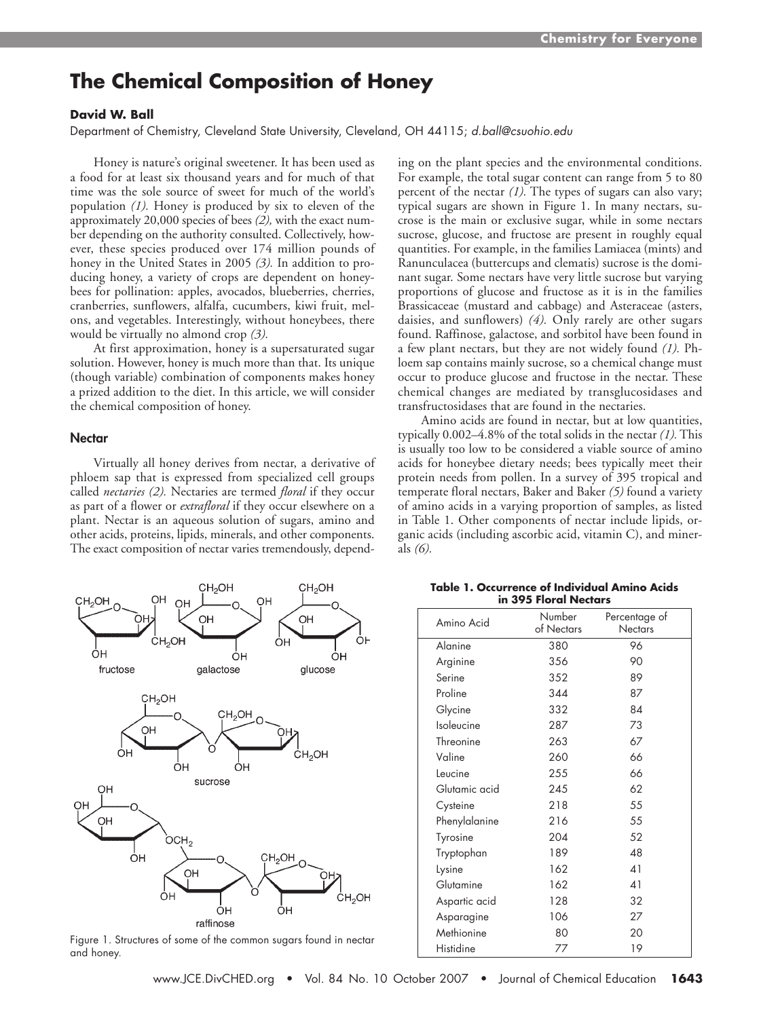# **The Chemical Composition of Honey**

## **David W. Ball**

Department of Chemistry, Cleveland State University, Cleveland, OH 44115; d.ball@csuohio.edu

Honey is nature's original sweetener. It has been used as a food for at least six thousand years and for much of that time was the sole source of sweet for much of the world's population *(1).* Honey is produced by six to eleven of the approximately 20,000 species of bees *(2),* with the exact number depending on the authority consulted. Collectively, however, these species produced over 174 million pounds of honey in the United States in 2005 *(3).* In addition to producing honey, a variety of crops are dependent on honeybees for pollination: apples, avocados, blueberries, cherries, cranberries, sunflowers, alfalfa, cucumbers, kiwi fruit, melons, and vegetables. Interestingly, without honeybees, there would be virtually no almond crop *(3).*

At first approximation, honey is a supersaturated sugar solution. However, honey is much more than that. Its unique (though variable) combination of components makes honey a prized addition to the diet. In this article, we will consider the chemical composition of honey.

### **Nectar**

Virtually all honey derives from nectar, a derivative of phloem sap that is expressed from specialized cell groups called *nectaries (2).* Nectaries are termed *floral* if they occur as part of a flower or *extrafloral* if they occur elsewhere on a plant. Nectar is an aqueous solution of sugars, amino and other acids, proteins, lipids, minerals, and other components. The exact composition of nectar varies tremendously, depend-



Figure 1. Structures of some of the common sugars found in nectar and honey.

ing on the plant species and the environmental conditions. For example, the total sugar content can range from 5 to 80 percent of the nectar *(1).* The types of sugars can also vary; typical sugars are shown in Figure 1. In many nectars, sucrose is the main or exclusive sugar, while in some nectars sucrose, glucose, and fructose are present in roughly equal quantities. For example, in the families Lamiacea (mints) and Ranunculacea (buttercups and clematis) sucrose is the dominant sugar. Some nectars have very little sucrose but varying proportions of glucose and fructose as it is in the families Brassicaceae (mustard and cabbage) and Asteraceae (asters, daisies, and sunflowers) *(4).* Only rarely are other sugars found. Raffinose, galactose, and sorbitol have been found in a few plant nectars, but they are not widely found *(1).* Phloem sap contains mainly sucrose, so a chemical change must occur to produce glucose and fructose in the nectar. These chemical changes are mediated by transglucosidases and transfructosidases that are found in the nectaries.

Amino acids are found in nectar, but at low quantities, typically 0.002–4.8% of the total solids in the nectar *(1).* This is usually too low to be considered a viable source of amino acids for honeybee dietary needs; bees typically meet their protein needs from pollen. In a survey of 395 tropical and temperate floral nectars, Baker and Baker *(5)* found a variety of amino acids in a varying proportion of samples, as listed in Table 1. Other components of nectar include lipids, organic acids (including ascorbic acid, vitamin C), and minerals *(6).*

| Amino Acid    | Number<br>of Nectars | Percentage of<br><b>Nectars</b> |  |  |
|---------------|----------------------|---------------------------------|--|--|
| Alanine       | 380                  | 96                              |  |  |
| Arginine      | 356                  | 90                              |  |  |
| Serine        | 352                  | 89                              |  |  |
| Proline       | 344                  | 87                              |  |  |
| Glycine       | 332                  | 84                              |  |  |
| Isoleucine    | 287                  | 73                              |  |  |
| Threonine     | 263                  | 67                              |  |  |
| Valine        | 260                  | 66                              |  |  |
| Leucine       | 255                  | 66                              |  |  |
| Glutamic acid | 245                  | 62                              |  |  |
| Cysteine      | 218                  | 55                              |  |  |
| Phenylalanine | 216                  | 55                              |  |  |
| Tyrosine      | 204                  | 52                              |  |  |
| Tryptophan    | 189                  | 48                              |  |  |
| Lysine        | 162                  | 41                              |  |  |
| Glutamine     | 162                  | 41                              |  |  |
| Aspartic acid | 128                  | 32                              |  |  |
| Asparagine    | 106                  | 27                              |  |  |
| Methionine    | 80                   | 20                              |  |  |
| Histidine     | 77                   | 19                              |  |  |

**Table 1. Occurrence of Individual Amino Acids in 395 Floral Nectars**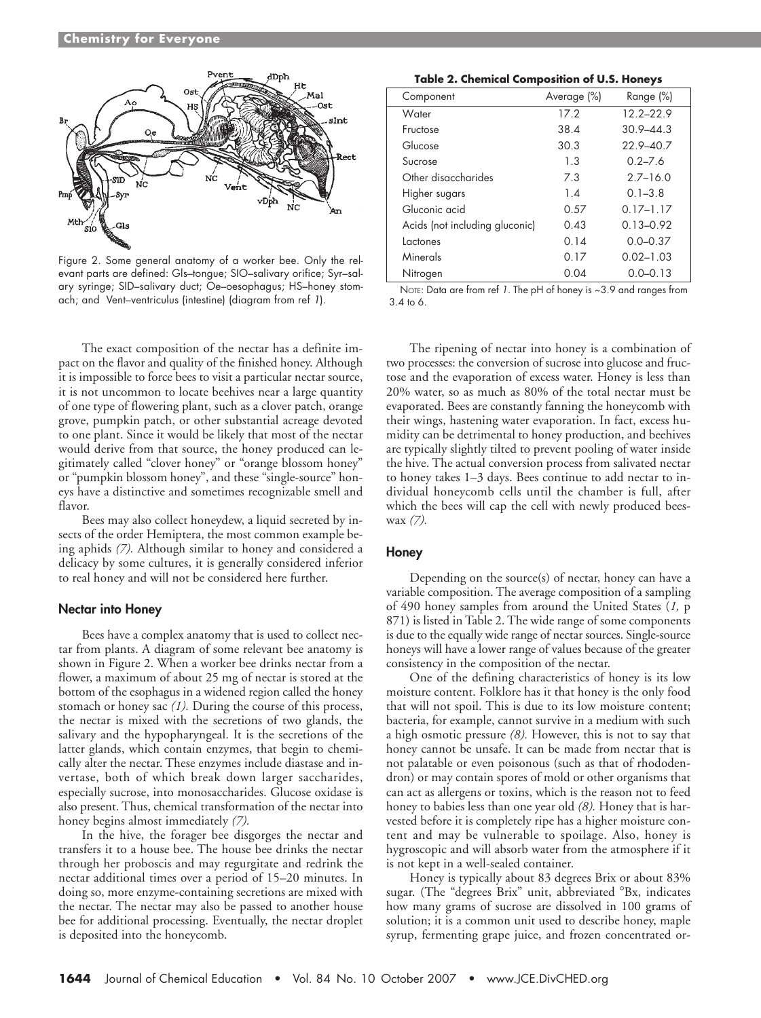

Figure 2. Some general anatomy of a worker bee. Only the relevant parts are defined: Gls–tongue; SIO–salivary orifice; Syr–salary syringe; SID–salivary duct; Oe–oesophagus; HS–honey stomach; and Vent–ventriculus (intestine) (diagram from ref 1).

The exact composition of the nectar has a definite impact on the flavor and quality of the finished honey. Although it is impossible to force bees to visit a particular nectar source, it is not uncommon to locate beehives near a large quantity of one type of flowering plant, such as a clover patch, orange grove, pumpkin patch, or other substantial acreage devoted to one plant. Since it would be likely that most of the nectar would derive from that source, the honey produced can legitimately called "clover honey" or "orange blossom honey" or "pumpkin blossom honey", and these "single-source" honeys have a distinctive and sometimes recognizable smell and flavor.

Bees may also collect honeydew, a liquid secreted by insects of the order Hemiptera, the most common example being aphids *(7).* Although similar to honey and considered a delicacy by some cultures, it is generally considered inferior to real honey and will not be considered here further.

#### **Nectar into Honey**

Bees have a complex anatomy that is used to collect nectar from plants. A diagram of some relevant bee anatomy is shown in Figure 2. When a worker bee drinks nectar from a flower, a maximum of about 25 mg of nectar is stored at the bottom of the esophagus in a widened region called the honey stomach or honey sac *(1).* During the course of this process, the nectar is mixed with the secretions of two glands, the salivary and the hypopharyngeal. It is the secretions of the latter glands, which contain enzymes, that begin to chemically alter the nectar. These enzymes include diastase and invertase, both of which break down larger saccharides, especially sucrose, into monosaccharides. Glucose oxidase is also present. Thus, chemical transformation of the nectar into honey begins almost immediately *(7).*

In the hive, the forager bee disgorges the nectar and transfers it to a house bee. The house bee drinks the nectar through her proboscis and may regurgitate and redrink the nectar additional times over a period of 15–20 minutes. In doing so, more enzyme-containing secretions are mixed with the nectar. The nectar may also be passed to another house bee for additional processing. Eventually, the nectar droplet is deposited into the honeycomb.

| Component                      | Average (%) | Range (%)     |  |
|--------------------------------|-------------|---------------|--|
| Water                          | 17.2        | $12.2 - 22.9$ |  |
| Fructose                       | 38.4        | $30.9 - 44.3$ |  |
| Glucose                        | 30.3        | $22.9 - 40.7$ |  |
| Sucrose                        | 1.3         | $0.2 - 7.6$   |  |
| Other disaccharides            | 7.3         | $2.7 - 16.0$  |  |
| Higher sugars                  | 1.4         | $0.1 - 3.8$   |  |
| Gluconic acid                  | 0.57        | $0.17 - 1.17$ |  |
| Acids (not including gluconic) | 0.43        | $0.13 - 0.92$ |  |
| Lactones                       | 0.14        | $0.0 - 0.37$  |  |
| Minerals                       | 0.17        | $0.02 - 1.03$ |  |
| Nitrogen                       | 0.04        | $0.0 - 0.13$  |  |

NOTE: Data are from ref 1. The pH of honey is ~3.9 and ranges from 3.4 to 6.

The ripening of nectar into honey is a combination of two processes: the conversion of sucrose into glucose and fructose and the evaporation of excess water. Honey is less than 20% water, so as much as 80% of the total nectar must be evaporated. Bees are constantly fanning the honeycomb with their wings, hastening water evaporation. In fact, excess humidity can be detrimental to honey production, and beehives are typically slightly tilted to prevent pooling of water inside the hive. The actual conversion process from salivated nectar to honey takes 1–3 days. Bees continue to add nectar to individual honeycomb cells until the chamber is full, after which the bees will cap the cell with newly produced beeswax *(7).*

#### **Honey**

Depending on the source(s) of nectar, honey can have a variable composition. The average composition of a sampling of 490 honey samples from around the United States (*1,* p 871) is listed in Table 2. The wide range of some components is due to the equally wide range of nectar sources. Single-source honeys will have a lower range of values because of the greater consistency in the composition of the nectar.

One of the defining characteristics of honey is its low moisture content. Folklore has it that honey is the only food that will not spoil. This is due to its low moisture content; bacteria, for example, cannot survive in a medium with such a high osmotic pressure *(8).* However, this is not to say that honey cannot be unsafe. It can be made from nectar that is not palatable or even poisonous (such as that of rhododendron) or may contain spores of mold or other organisms that can act as allergens or toxins, which is the reason not to feed honey to babies less than one year old *(8).* Honey that is harvested before it is completely ripe has a higher moisture content and may be vulnerable to spoilage. Also, honey is hygroscopic and will absorb water from the atmosphere if it is not kept in a well-sealed container.

Honey is typically about 83 degrees Brix or about 83% sugar. (The "degrees Brix" unit, abbreviated <sup>o</sup>Bx, indicates how many grams of sucrose are dissolved in 100 grams of solution; it is a common unit used to describe honey, maple syrup, fermenting grape juice, and frozen concentrated or-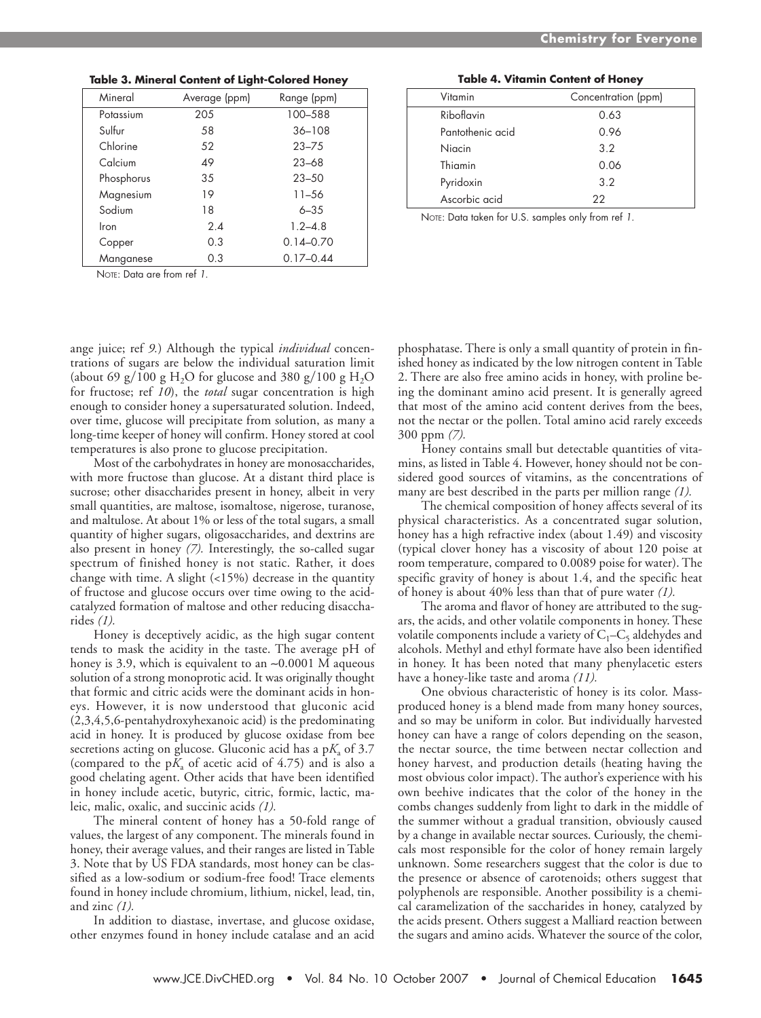| Mineral    | Average (ppm) | Range (ppm)   |
|------------|---------------|---------------|
| Potassium  | 205           | 100-588       |
| Sulfur     | 58            | $36 - 108$    |
| Chlorine   | 52            | $23 - 75$     |
| Calcium    | 49            | $23 - 68$     |
| Phosphorus | 35            | $23 - 50$     |
| Magnesium  | 19            | $11 - 56$     |
| Sodium     | 18            | $6 - 35$      |
| Iron       | 2.4           | $1.2 - 4.8$   |
| Copper     | 0.3           | $0.14 - 0.70$ |
| Manganese  | 0.3           | $0.17 - 0.44$ |

**Table 3. Mineral Content of Light-Colored Honey**

NOTE: Data are from ref 1.

ange juice; ref *9.*) Although the typical *individual* concentrations of sugars are below the individual saturation limit (about 69 g/100 g H<sub>2</sub>O for glucose and 380 g/100 g H<sub>2</sub>O for fructose; ref *10*), the *total* sugar concentration is high enough to consider honey a supersaturated solution. Indeed, over time, glucose will precipitate from solution, as many a long-time keeper of honey will confirm. Honey stored at cool temperatures is also prone to glucose precipitation.

Most of the carbohydrates in honey are monosaccharides, with more fructose than glucose. At a distant third place is sucrose; other disaccharides present in honey, albeit in very small quantities, are maltose, isomaltose, nigerose, turanose, and maltulose. At about 1% or less of the total sugars, a small quantity of higher sugars, oligosaccharides, and dextrins are also present in honey *(7).* Interestingly, the so-called sugar spectrum of finished honey is not static. Rather, it does change with time. A slight  $($ <15% $)$  decrease in the quantity of fructose and glucose occurs over time owing to the acidcatalyzed formation of maltose and other reducing disaccharides *(1).*

Honey is deceptively acidic, as the high sugar content tends to mask the acidity in the taste. The average pH of honey is 3.9, which is equivalent to an ∼0.0001 M aqueous solution of a strong monoprotic acid. It was originally thought that formic and citric acids were the dominant acids in honeys. However, it is now understood that gluconic acid (2,3,4,5,6-pentahydroxyhexanoic acid) is the predominating acid in honey. It is produced by glucose oxidase from bee secretions acting on glucose. Gluconic acid has a  $pK_a$  of 3.7 (compared to the  $pK_a$  of acetic acid of 4.75) and is also a good chelating agent. Other acids that have been identified in honey include acetic, butyric, citric, formic, lactic, maleic, malic, oxalic, and succinic acids *(1).*

The mineral content of honey has a 50-fold range of values, the largest of any component. The minerals found in honey, their average values, and their ranges are listed in Table 3. Note that by US FDA standards, most honey can be classified as a low-sodium or sodium-free food! Trace elements found in honey include chromium, lithium, nickel, lead, tin, and zinc *(1).*

In addition to diastase, invertase, and glucose oxidase, other enzymes found in honey include catalase and an acid

| Vitamin          | Concentration (ppm) |
|------------------|---------------------|
| Riboflavin       | 0.63                |
| Pantothenic acid | 0.96                |
| Niacin           | 3.2                 |
| Thiamin          | 0.06                |
| Pyridoxin        | 32                  |

**Table 4. Vitamin Content of Honey**

A 2 scorbic acid 2 NOTE: Data taken for U.S. samples only from ref 1.

phosphatase. There is only a small quantity of protein in finished honey as indicated by the low nitrogen content in Table 2. There are also free amino acids in honey, with proline being the dominant amino acid present. It is generally agreed that most of the amino acid content derives from the bees, not the nectar or the pollen. Total amino acid rarely exceeds 300 ppm *(7).*

Honey contains small but detectable quantities of vitamins, as listed in Table 4. However, honey should not be considered good sources of vitamins, as the concentrations of many are best described in the parts per million range *(1).*

The chemical composition of honey affects several of its physical characteristics. As a concentrated sugar solution, honey has a high refractive index (about 1.49) and viscosity (typical clover honey has a viscosity of about 120 poise at room temperature, compared to 0.0089 poise for water). The specific gravity of honey is about 1.4, and the specific heat of honey is about 40% less than that of pure water *(1).*

The aroma and flavor of honey are attributed to the sugars, the acids, and other volatile components in honey. These volatile components include a variety of  $C_1-C_5$  aldehydes and alcohols. Methyl and ethyl formate have also been identified in honey. It has been noted that many phenylacetic esters have a honey-like taste and aroma *(11).*

One obvious characteristic of honey is its color. Massproduced honey is a blend made from many honey sources, and so may be uniform in color. But individually harvested honey can have a range of colors depending on the season, the nectar source, the time between nectar collection and honey harvest, and production details (heating having the most obvious color impact). The author's experience with his own beehive indicates that the color of the honey in the combs changes suddenly from light to dark in the middle of the summer without a gradual transition, obviously caused by a change in available nectar sources. Curiously, the chemicals most responsible for the color of honey remain largely unknown. Some researchers suggest that the color is due to the presence or absence of carotenoids; others suggest that polyphenols are responsible. Another possibility is a chemical caramelization of the saccharides in honey, catalyzed by the acids present. Others suggest a Malliard reaction between the sugars and amino acids. Whatever the source of the color,